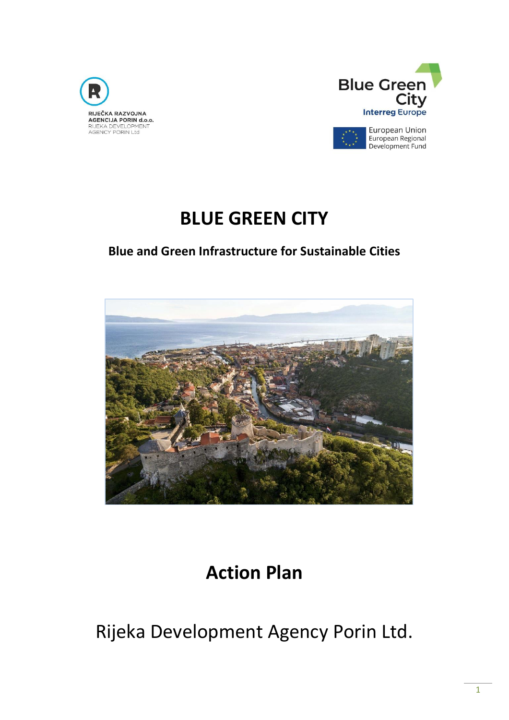





# **BLUE GREEN CITY**

# **Blue and Green Infrastructure for Sustainable Cities**



**Action Plan**

Rijeka Development Agency Porin Ltd.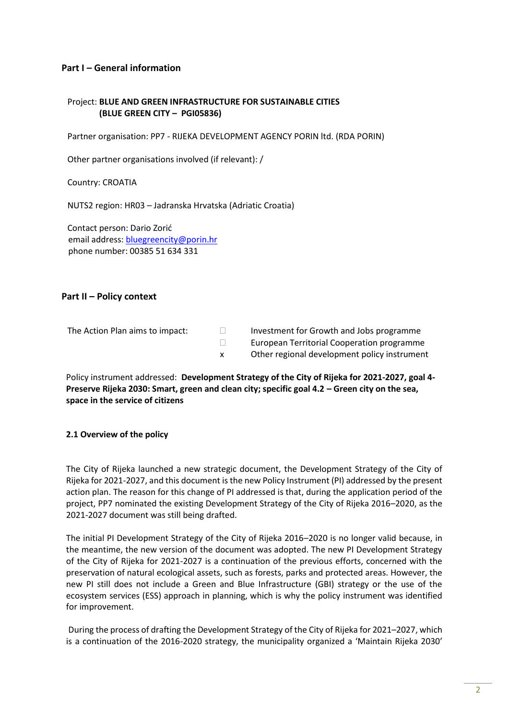# **Part I – General information**

# Project: **BLUE AND GREEN INFRASTRUCTURE FOR SUSTAINABLE CITIES (BLUE GREEN CITY – PGI05836)**

Partner organisation: PP7 - RIJEKA DEVELOPMENT AGENCY PORIN ltd. (RDA PORIN)

Other partner organisations involved (if relevant): /

Country: CROATIA

NUTS2 region: HR03 – Jadranska Hrvatska (Adriatic Croatia)

Contact person: Dario Zorić email address: [bluegreencity@porin.hr](mailto:bluegreencity@porin.hr) phone number: 00385 51 634 331

# **Part II – Policy context**

The Action Plan aims to impact:  $\Box$  Investment for Growth and Jobs programme European Territorial Cooperation programme x Other regional development policy instrument

Policy instrument addressed: **Development Strategy of the City of Rijeka for 2021-2027, goal 4- Preserve Rijeka 2030: Smart, green and clean city; specific goal 4.2 – Green city on the sea, space in the service of citizens**

#### **2.1 Overview of the policy**

The City of Rijeka launched a new strategic document, the Development Strategy of the City of Rijeka for 2021-2027, and this document is the new Policy Instrument (PI) addressed by the present action plan. The reason for this change of PI addressed is that, during the application period of the project, PP7 nominated the existing Development Strategy of the City of Rijeka 2016–2020, as the 2021-2027 document was still being drafted.

The initial PI Development Strategy of the City of Rijeka 2016–2020 is no longer valid because, in the meantime, the new version of the document was adopted. The new PI Development Strategy of the City of Rijeka for 2021-2027 is a continuation of the previous efforts, concerned with the preservation of natural ecological assets, such as forests, parks and protected areas. However, the new PI still does not include a Green and Blue Infrastructure (GBI) strategy or the use of the ecosystem services (ESS) approach in planning, which is why the policy instrument was identified for improvement.

During the process of drafting the Development Strategy of the City of Rijeka for 2021–2027, which is a continuation of the 2016-2020 strategy, the municipality organized a 'Maintain Rijeka 2030'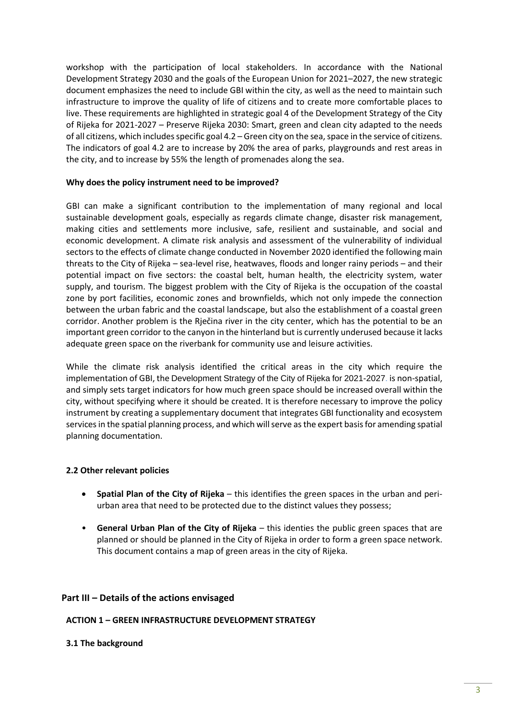workshop with the participation of local stakeholders. In accordance with the National Development Strategy 2030 and the goals of the European Union for 2021–2027, the new strategic document emphasizes the need to include GBI within the city, as well as the need to maintain such infrastructure to improve the quality of life of citizens and to create more comfortable places to live. These requirements are highlighted in strategic goal 4 of the Development Strategy of the City of Rijeka for 2021-2027 – Preserve Rijeka 2030: Smart, green and clean city adapted to the needs of all citizens, which includes specific goal 4.2 – Green city on the sea, space in the service of citizens. The indicators of goal 4.2 are to increase by 20% the area of parks, playgrounds and rest areas in the city, and to increase by 55% the length of promenades along the sea.

#### **Why does the policy instrument need to be improved?**

GBI can make a significant contribution to the implementation of many regional and local sustainable development goals, especially as regards climate change, disaster risk management, making cities and settlements more inclusive, safe, resilient and sustainable, and social and economic development. A climate risk analysis and assessment of the vulnerability of individual sectors to the effects of climate change conducted in November 2020 identified the following main threats to the City of Rijeka – sea-level rise, heatwaves, floods and longer rainy periods – and their potential impact on five sectors: the coastal belt, human health, the electricity system, water supply, and tourism. The biggest problem with the City of Rijeka is the occupation of the coastal zone by port facilities, economic zones and brownfields, which not only impede the connection between the urban fabric and the coastal landscape, but also the establishment of a coastal green corridor. Another problem is the Rječina river in the city center, which has the potential to be an important green corridor to the canyon in the hinterland but is currently underused because it lacks adequate green space on the riverbank for community use and leisure activities.

While the climate risk analysis identified the critical areas in the city which require the implementation of GBI, the Development Strategy of the City of Rijeka for 2021-2027. is non-spatial, and simply sets target indicators for how much green space should be increased overall within the city, without specifying where it should be created. It is therefore necessary to improve the policy instrument by creating a supplementary document that integrates GBI functionality and ecosystem services in the spatial planning process, and which will serve as the expert basis for amending spatial planning documentation.

#### **2.2 Other relevant policies**

- **Spatial Plan of the City of Rijeka** this identifies the green spaces in the urban and periurban area that need to be protected due to the distinct values they possess;
- **General Urban Plan of the City of Rijeka** this identies the public green spaces that are planned or should be planned in the City of Rijeka in order to form a green space network. This document contains a map of green areas in the city of Rijeka.

#### **Part III – Details of the actions envisaged**

#### **ACTION 1 – GREEN INFRASTRUCTURE DEVELOPMENT STRATEGY**

#### **3.1 The background**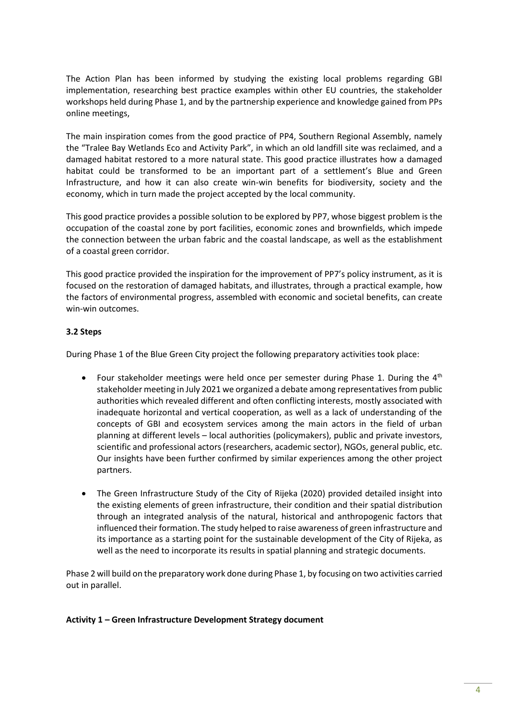The Action Plan has been informed by studying the existing local problems regarding GBI implementation, researching best practice examples within other EU countries, the stakeholder workshops held during Phase 1, and by the partnership experience and knowledge gained from PPs online meetings,

The main inspiration comes from the good practice of PP4, Southern Regional Assembly, namely the "Tralee Bay Wetlands Eco and Activity Park", in which an old landfill site was reclaimed, and a damaged habitat restored to a more natural state. This good practice illustrates how a damaged habitat could be transformed to be an important part of a settlement's Blue and Green Infrastructure, and how it can also create win-win benefits for biodiversity, society and the economy, which in turn made the project accepted by the local community.

This good practice provides a possible solution to be explored by PP7, whose biggest problem is the occupation of the coastal zone by port facilities, economic zones and brownfields, which impede the connection between the urban fabric and the coastal landscape, as well as the establishment of a coastal green corridor.

This good practice provided the inspiration for the improvement of PP7's policy instrument, as it is focused on the restoration of damaged habitats, and illustrates, through a practical example, how the factors of environmental progress, assembled with economic and societal benefits, can create win-win outcomes.

# **3.2 Steps**

During Phase 1 of the Blue Green City project the following preparatory activities took place:

- Four stakeholder meetings were held once per semester during Phase 1. During the  $4<sup>th</sup>$ stakeholder meeting in July 2021 we organized a debate among representatives from public authorities which revealed different and often conflicting interests, mostly associated with inadequate horizontal and vertical cooperation, as well as a lack of understanding of the concepts of GBI and ecosystem services among the main actors in the field of urban planning at different levels – local authorities (policymakers), public and private investors, scientific and professional actors (researchers, academic sector), NGOs, general public, etc. Our insights have been further confirmed by similar experiences among the other project partners.
- The Green Infrastructure Study of the City of Rijeka (2020) provided detailed insight into the existing elements of green infrastructure, their condition and their spatial distribution through an integrated analysis of the natural, historical and anthropogenic factors that influenced their formation. The study helped to raise awareness of green infrastructure and its importance as a starting point for the sustainable development of the City of Rijeka, as well as the need to incorporate its results in spatial planning and strategic documents.

Phase 2 will build on the preparatory work done during Phase 1, by focusing on two activities carried out in parallel.

#### **Activity 1 – Green Infrastructure Development Strategy document**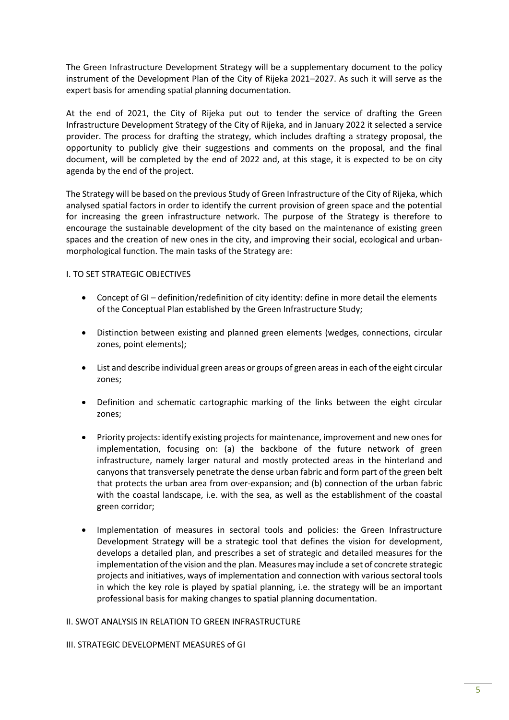The Green Infrastructure Development Strategy will be a supplementary document to the policy instrument of the Development Plan of the City of Rijeka 2021–2027. As such it will serve as the expert basis for amending spatial planning documentation.

At the end of 2021, the City of Rijeka put out to tender the service of drafting the Green Infrastructure Development Strategy of the City of Rijeka, and in January 2022 it selected a service provider. The process for drafting the strategy, which includes drafting a strategy proposal, the opportunity to publicly give their suggestions and comments on the proposal, and the final document, will be completed by the end of 2022 and, at this stage, it is expected to be on city agenda by the end of the project.

The Strategy will be based on the previous Study of Green Infrastructure of the City of Rijeka, which analysed spatial factors in order to identify the current provision of green space and the potential for increasing the green infrastructure network. The purpose of the Strategy is therefore to encourage the sustainable development of the city based on the maintenance of existing green spaces and the creation of new ones in the city, and improving their social, ecological and urbanmorphological function. The main tasks of the Strategy are:

# I. TO SET STRATEGIC OBJECTIVES

- Concept of GI definition/redefinition of city identity: define in more detail the elements of the Conceptual Plan established by the Green Infrastructure Study;
- Distinction between existing and planned green elements (wedges, connections, circular zones, point elements);
- List and describe individual green areas or groups of green areas in each of the eight circular zones;
- Definition and schematic cartographic marking of the links between the eight circular zones;
- Priority projects: identify existing projects for maintenance, improvement and new ones for implementation, focusing on: (a) the backbone of the future network of green infrastructure, namely larger natural and mostly protected areas in the hinterland and canyons that transversely penetrate the dense urban fabric and form part of the green belt that protects the urban area from over-expansion; and (b) connection of the urban fabric with the coastal landscape, i.e. with the sea, as well as the establishment of the coastal green corridor;
- Implementation of measures in sectoral tools and policies: the Green Infrastructure Development Strategy will be a strategic tool that defines the vision for development, develops a detailed plan, and prescribes a set of strategic and detailed measures for the implementation of the vision and the plan. Measures may include a set of concrete strategic projects and initiatives, ways of implementation and connection with various sectoral tools in which the key role is played by spatial planning, i.e. the strategy will be an important professional basis for making changes to spatial planning documentation.

#### II. SWOT ANALYSIS IN RELATION TO GREEN INFRASTRUCTURE

#### III. STRATEGIC DEVELOPMENT MEASURES of GI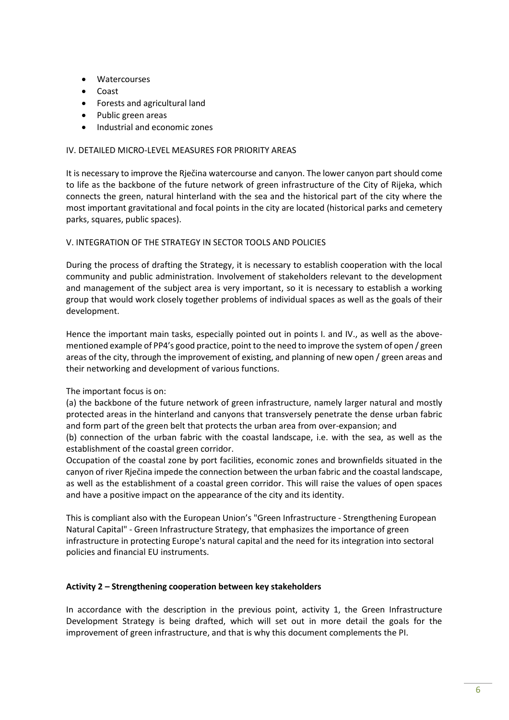- Watercourses
- Coast
- Forests and agricultural land
- Public green areas
- Industrial and economic zones

# IV. DETAILED MICRO-LEVEL MEASURES FOR PRIORITY AREAS

It is necessary to improve the Rječina watercourse and canyon. The lower canyon part should come to life as the backbone of the future network of green infrastructure of the City of Rijeka, which connects the green, natural hinterland with the sea and the historical part of the city where the most important gravitational and focal points in the city are located (historical parks and cemetery parks, squares, public spaces).

## V. INTEGRATION OF THE STRATEGY IN SECTOR TOOLS AND POLICIES

During the process of drafting the Strategy, it is necessary to establish cooperation with the local community and public administration. Involvement of stakeholders relevant to the development and management of the subject area is very important, so it is necessary to establish a working group that would work closely together problems of individual spaces as well as the goals of their development.

Hence the important main tasks, especially pointed out in points I. and IV., as well as the abovementioned example of PP4's good practice, point to the need to improve the system of open / green areas of the city, through the improvement of existing, and planning of new open / green areas and their networking and development of various functions.

The important focus is on:

(a) the backbone of the future network of green infrastructure, namely larger natural and mostly protected areas in the hinterland and canyons that transversely penetrate the dense urban fabric and form part of the green belt that protects the urban area from over-expansion; and (b) connection of the urban fabric with the coastal landscape, i.e. with the sea, as well as the

establishment of the coastal green corridor.

Occupation of the coastal zone by port facilities, economic zones and brownfields situated in the canyon of river Rječina impede the connection between the urban fabric and the coastal landscape, as well as the establishment of a coastal green corridor. This will raise the values of open spaces and have a positive impact on the appearance of the city and its identity.

This is compliant also with the European Union's "Green Infrastructure - Strengthening European Natural Capital" - Green Infrastructure Strategy, that emphasizes the importance of green infrastructure in protecting Europe's natural capital and the need for its integration into sectoral policies and financial EU instruments.

# **Activity 2 – Strengthening cooperation between key stakeholders**

In accordance with the description in the previous point, activity 1, the Green Infrastructure Development Strategy is being drafted, which will set out in more detail the goals for the improvement of green infrastructure, and that is why this document complements the PI.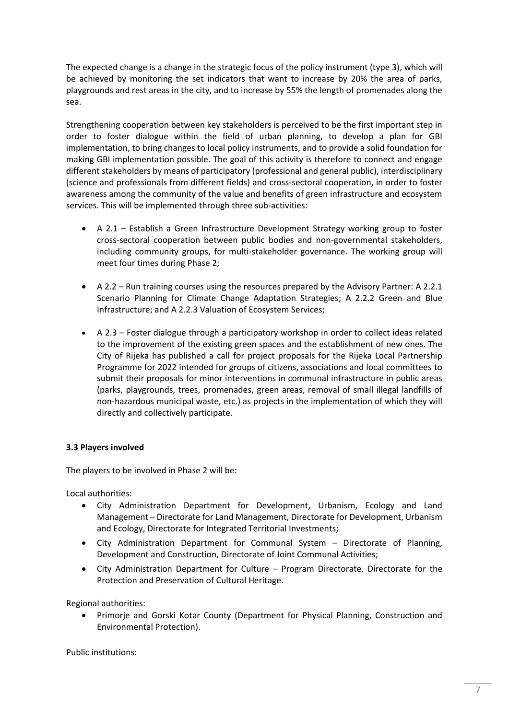The expected change is a change in the strategic focus of the policy instrument (type 3), which will be achieved by monitoring the set indicators that want to increase by 20% the area of parks, playgrounds and rest areas in the city, and to increase by 55% the length of promenades along the sea.

Strengthening cooperation between key stakeholders is perceived to be the first important step in order to foster dialogue within the field of urban planning, to develop a plan for GBI implementation, to bring changes to local policy instruments, and to provide a solid foundation for making GBI implementation possible. The goal of this activity is therefore to connect and engage different stakeholders by means of participatory (professional and general public), interdisciplinary (science and professionals from different fields) and cross-sectoral cooperation, in order to foster awareness among the community of the value and benefits of green infrastructure and ecosystem services. This will be implemented through three sub-activities:

- A 2.1 Establish a Green Infrastructure Development Strategy working group to foster cross-sectoral cooperation between public bodies and non-governmental stakeholders, including community groups, for multi-stakeholder governance. The working group will meet four times during Phase 2;
- A 2.2 Run training courses using the resources prepared by the Advisory Partner: A 2.2.1 Scenario Planning for Climate Change Adaptation Strategies; A 2.2.2 Green and Blue Infrastructure; and A 2.2.3 Valuation of Ecosystem Services;
- A 2.3 Foster dialogue through a participatory workshop in order to collect ideas related to the improvement of the existing green spaces and the establishment of new ones. The City of Rijeka has published a call for project proposals for the Rijeka Local Partnership Programme for 2022 intended for groups of citizens, associations and local committees to submit their proposals for minor interventions in communal infrastructure in public areas (parks, playgrounds, trees, promenades, green areas, removal of small illegal landfills of non-hazardous municipal waste, etc.) as projects in the implementation of which they will directly and collectively participate.

# **3.3 Players involved**

The players to be involved in Phase 2 will be:

Local authorities:

- City Administration Department for Development, Urbanism, Ecology and Land Management – Directorate for Land Management, Directorate for Development, Urbanism and Ecology, Directorate for Integrated Territorial Investments;
- City Administration Department for Communal System Directorate of Planning, Development and Construction, Directorate of Joint Communal Activities;
- City Administration Department for Culture Program Directorate, Directorate for the Protection and Preservation of Cultural Heritage.

Regional authorities:

• Primorje and Gorski Kotar County (Department for Physical Planning, Construction and Environmental Protection).

Public institutions: